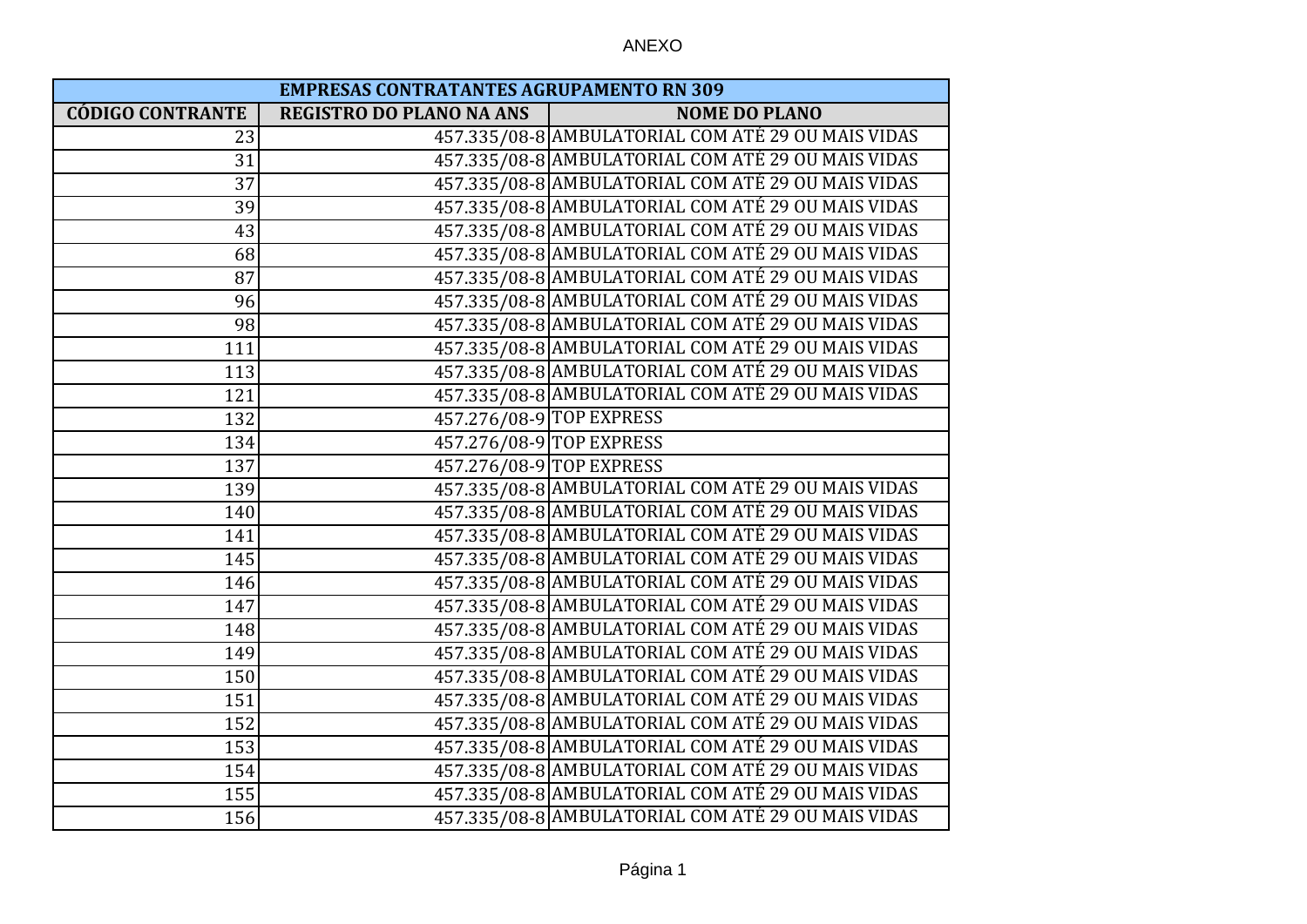| <b>EMPRESAS CONTRATANTES AGRUPAMENTO RN 309</b> |                                 |                                                    |
|-------------------------------------------------|---------------------------------|----------------------------------------------------|
| <b>CÓDIGO CONTRANTE</b>                         | <b>REGISTRO DO PLANO NA ANS</b> | <b>NOME DO PLANO</b>                               |
| 23                                              |                                 | 457.335/08-8 AMBULATORIAL COM ATÉ 29 OU MAIS VIDAS |
| 31                                              |                                 | 457.335/08-8 AMBULATORIAL COM ATÉ 29 OU MAIS VIDAS |
| 37                                              |                                 | 457.335/08-8 AMBULATORIAL COM ATÉ 29 OU MAIS VIDAS |
| 39                                              |                                 | 457.335/08-8 AMBULATORIAL COM ATÉ 29 OU MAIS VIDAS |
| 43                                              |                                 | 457.335/08-8 AMBULATORIAL COM ATÉ 29 OU MAIS VIDAS |
| 68                                              |                                 | 457.335/08-8 AMBULATORIAL COM ATÉ 29 OU MAIS VIDAS |
| 87                                              |                                 | 457.335/08-8 AMBULATORIAL COM ATÉ 29 OU MAIS VIDAS |
| 96                                              |                                 | 457.335/08-8 AMBULATORIAL COM ATÉ 29 OU MAIS VIDAS |
| 98                                              |                                 | 457.335/08-8 AMBULATORIAL COM ATÉ 29 OU MAIS VIDAS |
| 111                                             |                                 | 457.335/08-8 AMBULATORIAL COM ATÉ 29 OU MAIS VIDAS |
| 113                                             |                                 | 457.335/08-8 AMBULATORIAL COM ATÉ 29 OU MAIS VIDAS |
| 121                                             |                                 | 457.335/08-8 AMBULATORIAL COM ATÉ 29 OU MAIS VIDAS |
| 132                                             |                                 | 457.276/08-9 TOP EXPRESS                           |
| 134                                             |                                 | 457.276/08-9 TOP EXPRESS                           |
| 137                                             |                                 | 457.276/08-9 TOP EXPRESS                           |
| 139                                             |                                 | 457.335/08-8 AMBULATORIAL COM ATÉ 29 OU MAIS VIDAS |
| 140                                             |                                 | 457.335/08-8 AMBULATORIAL COM ATÉ 29 OU MAIS VIDAS |
| 141                                             |                                 | 457.335/08-8 AMBULATORIAL COM ATÉ 29 OU MAIS VIDAS |
| 145                                             |                                 | 457.335/08-8 AMBULATORIAL COM ATÉ 29 OU MAIS VIDAS |
| 146                                             |                                 | 457.335/08-8 AMBULATORIAL COM ATÉ 29 OU MAIS VIDAS |
| 147                                             |                                 | 457.335/08-8 AMBULATORIAL COM ATÉ 29 OU MAIS VIDAS |
| 148                                             |                                 | 457.335/08-8 AMBULATORIAL COM ATÉ 29 OU MAIS VIDAS |
| 149                                             |                                 | 457.335/08-8 AMBULATORIAL COM ATÉ 29 OU MAIS VIDAS |
| 150                                             |                                 | 457.335/08-8 AMBULATORIAL COM ATÉ 29 OU MAIS VIDAS |
| 151                                             |                                 | 457.335/08-8 AMBULATORIAL COM ATÉ 29 OU MAIS VIDAS |
| 152                                             |                                 | 457.335/08-8 AMBULATORIAL COM ATÉ 29 OU MAIS VIDAS |
| 153                                             |                                 | 457.335/08-8 AMBULATORIAL COM ATÉ 29 OU MAIS VIDAS |
| 154                                             |                                 | 457.335/08-8 AMBULATORIAL COM ATÉ 29 OU MAIS VIDAS |
| 155                                             |                                 | 457.335/08-8 AMBULATORIAL COM ATÉ 29 OU MAIS VIDAS |
| 156                                             |                                 | 457.335/08-8 AMBULATORIAL COM ATÉ 29 OU MAIS VIDAS |